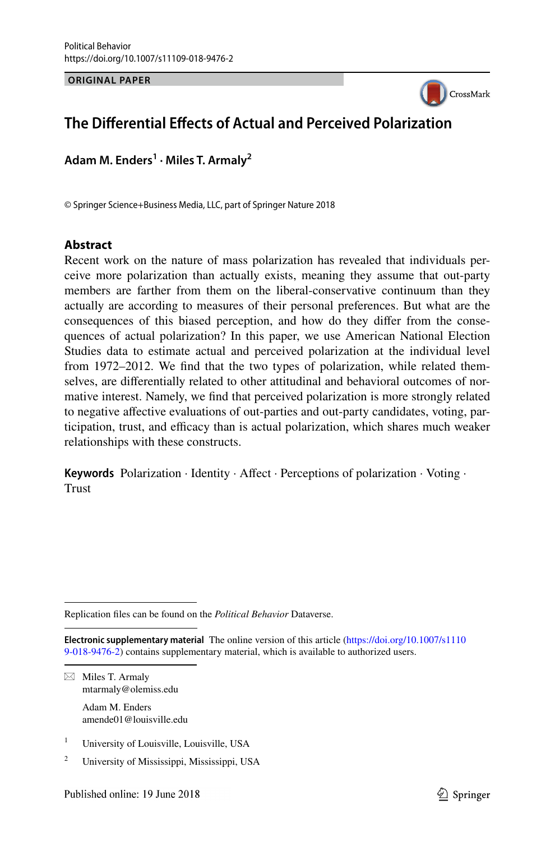**ORIGINAL PAPER**



# **The Diferential Efects of Actual and Perceived Polarization**

**Adam M. Enders1 · Miles T. Armaly2**

© Springer Science+Business Media, LLC, part of Springer Nature 2018

#### **Abstract**

Recent work on the nature of mass polarization has revealed that individuals perceive more polarization than actually exists, meaning they assume that out-party members are farther from them on the liberal-conservative continuum than they actually are according to measures of their personal preferences. But what are the consequences of this biased perception, and how do they difer from the consequences of actual polarization? In this paper, we use American National Election Studies data to estimate actual and perceived polarization at the individual level from 1972–2012. We fnd that the two types of polarization, while related themselves, are diferentially related to other attitudinal and behavioral outcomes of normative interest. Namely, we fnd that perceived polarization is more strongly related to negative afective evaluations of out-parties and out-party candidates, voting, participation, trust, and efficacy than is actual polarization, which shares much weaker relationships with these constructs.

**Keywords** Polarization · Identity · Affect · Perceptions of polarization · Voting · Trust

Replication fles can be found on the *Political Behavior* Dataverse.

 $\boxtimes$  Miles T. Armaly mtarmaly@olemiss.edu

> Adam M. Enders amende01@louisville.edu

- <sup>1</sup> University of Louisville, Louisville, USA
- <sup>2</sup> University of Mississippi, Mississippi, USA

**Electronic supplementary material** The online version of this article ([https://doi.org/10.1007/s1110](https://doi.org/10.1007/s11109-018-9476-2) [9-018-9476-2](https://doi.org/10.1007/s11109-018-9476-2)) contains supplementary material, which is available to authorized users.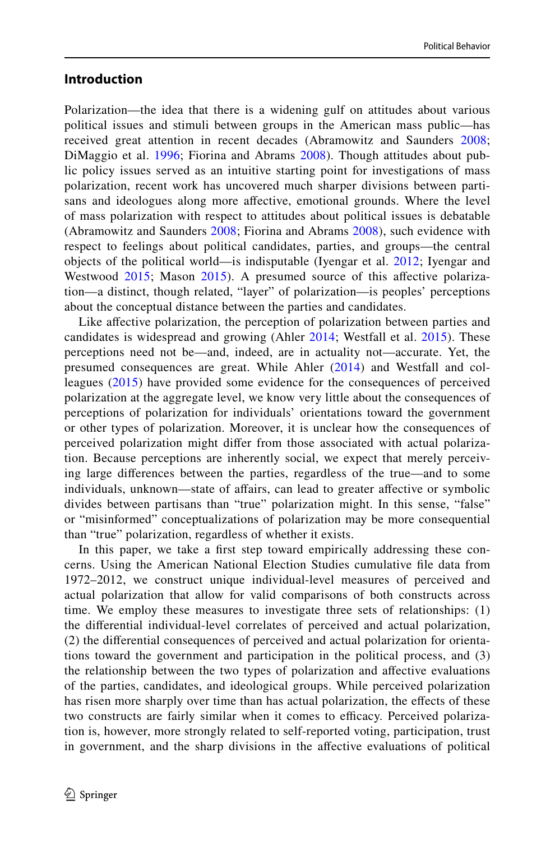## **Introduction**

Polarization—the idea that there is a widening gulf on attitudes about various political issues and stimuli between groups in the American mass public—has received great attention in recent decades (Abramowitz and Saunders [2008;](#page-22-0) DiMaggio et al. [1996;](#page-23-0) Fiorina and Abrams [2008](#page-23-1)). Though attitudes about public policy issues served as an intuitive starting point for investigations of mass polarization, recent work has uncovered much sharper divisions between partisans and ideologues along more afective, emotional grounds. Where the level of mass polarization with respect to attitudes about political issues is debatable (Abramowitz and Saunders [2008;](#page-22-0) Fiorina and Abrams [2008\)](#page-23-1), such evidence with respect to feelings about political candidates, parties, and groups—the central objects of the political world—is indisputable (Iyengar et al. [2012](#page-23-2); Iyengar and Westwood [2015](#page-23-3); Mason [2015\)](#page-23-4). A presumed source of this affective polarization—a distinct, though related, "layer" of polarization—is peoples' perceptions about the conceptual distance between the parties and candidates.

Like afective polarization, the perception of polarization between parties and candidates is widespread and growing (Ahler [2014;](#page-22-1) Westfall et al. [2015](#page-24-0)). These perceptions need not be—and, indeed, are in actuality not—accurate. Yet, the presumed consequences are great. While Ahler ([2014\)](#page-22-1) and Westfall and colleagues ([2015\)](#page-24-0) have provided some evidence for the consequences of perceived polarization at the aggregate level, we know very little about the consequences of perceptions of polarization for individuals' orientations toward the government or other types of polarization. Moreover, it is unclear how the consequences of perceived polarization might difer from those associated with actual polarization. Because perceptions are inherently social, we expect that merely perceiving large diferences between the parties, regardless of the true—and to some individuals, unknown—state of affairs, can lead to greater affective or symbolic divides between partisans than "true" polarization might. In this sense, "false" or "misinformed" conceptualizations of polarization may be more consequential than "true" polarization, regardless of whether it exists.

In this paper, we take a frst step toward empirically addressing these concerns. Using the American National Election Studies cumulative fle data from 1972–2012, we construct unique individual-level measures of perceived and actual polarization that allow for valid comparisons of both constructs across time. We employ these measures to investigate three sets of relationships: (1) the diferential individual-level correlates of perceived and actual polarization, (2) the diferential consequences of perceived and actual polarization for orientations toward the government and participation in the political process, and (3) the relationship between the two types of polarization and afective evaluations of the parties, candidates, and ideological groups. While perceived polarization has risen more sharply over time than has actual polarization, the efects of these two constructs are fairly similar when it comes to efficacy. Perceived polarization is, however, more strongly related to self-reported voting, participation, trust in government, and the sharp divisions in the afective evaluations of political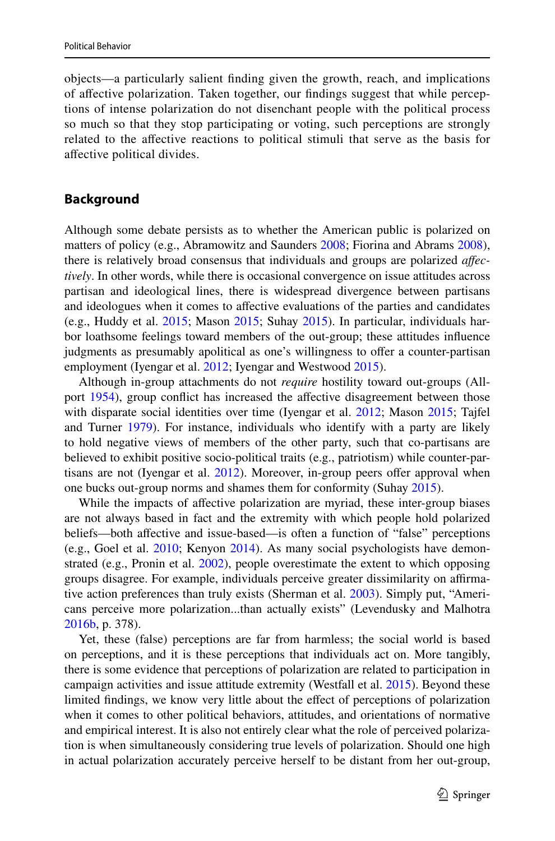objects—a particularly salient fnding given the growth, reach, and implications of afective polarization. Taken together, our fndings suggest that while perceptions of intense polarization do not disenchant people with the political process so much so that they stop participating or voting, such perceptions are strongly related to the afective reactions to political stimuli that serve as the basis for afective political divides.

#### **Background**

Although some debate persists as to whether the American public is polarized on matters of policy (e.g., Abramowitz and Saunders [2008;](#page-22-0) Fiorina and Abrams [2008\)](#page-23-1), there is relatively broad consensus that individuals and groups are polarized *afectively*. In other words, while there is occasional convergence on issue attitudes across partisan and ideological lines, there is widespread divergence between partisans and ideologues when it comes to afective evaluations of the parties and candidates (e.g., Huddy et al. [2015;](#page-23-5) Mason [2015](#page-23-4); Suhay [2015\)](#page-24-1). In particular, individuals harbor loathsome feelings toward members of the out-group; these attitudes infuence judgments as presumably apolitical as one's willingness to ofer a counter-partisan employment (Iyengar et al. [2012](#page-23-2); Iyengar and Westwood [2015](#page-23-3)).

Although in-group attachments do not *require* hostility toward out-groups (Allport [1954](#page-22-2)), group confict has increased the afective disagreement between those with disparate social identities over time (Iyengar et al. [2012;](#page-23-2) Mason [2015;](#page-23-4) Tajfel and Turner [1979\)](#page-24-2). For instance, individuals who identify with a party are likely to hold negative views of members of the other party, such that co-partisans are believed to exhibit positive socio-political traits (e.g., patriotism) while counter-partisans are not (Iyengar et al. [2012\)](#page-23-2). Moreover, in-group peers ofer approval when one bucks out-group norms and shames them for conformity (Suhay [2015\)](#page-24-1).

While the impacts of afective polarization are myriad, these inter-group biases are not always based in fact and the extremity with which people hold polarized beliefs—both afective and issue-based—is often a function of "false" perceptions (e.g., Goel et al. [2010](#page-23-6); Kenyon [2014](#page-23-7)). As many social psychologists have demonstrated (e.g., Pronin et al. [2002](#page-23-8)), people overestimate the extent to which opposing groups disagree. For example, individuals perceive greater dissimilarity on afrmative action preferences than truly exists (Sherman et al. [2003](#page-24-3)). Simply put, "Americans perceive more polarization...than actually exists" (Levendusky and Malhotra [2016b](#page-23-9), p. 378).

Yet, these (false) perceptions are far from harmless; the social world is based on perceptions, and it is these perceptions that individuals act on. More tangibly, there is some evidence that perceptions of polarization are related to participation in campaign activities and issue attitude extremity (Westfall et al. [2015\)](#page-24-0). Beyond these limited findings, we know very little about the effect of perceptions of polarization when it comes to other political behaviors, attitudes, and orientations of normative and empirical interest. It is also not entirely clear what the role of perceived polarization is when simultaneously considering true levels of polarization. Should one high in actual polarization accurately perceive herself to be distant from her out-group,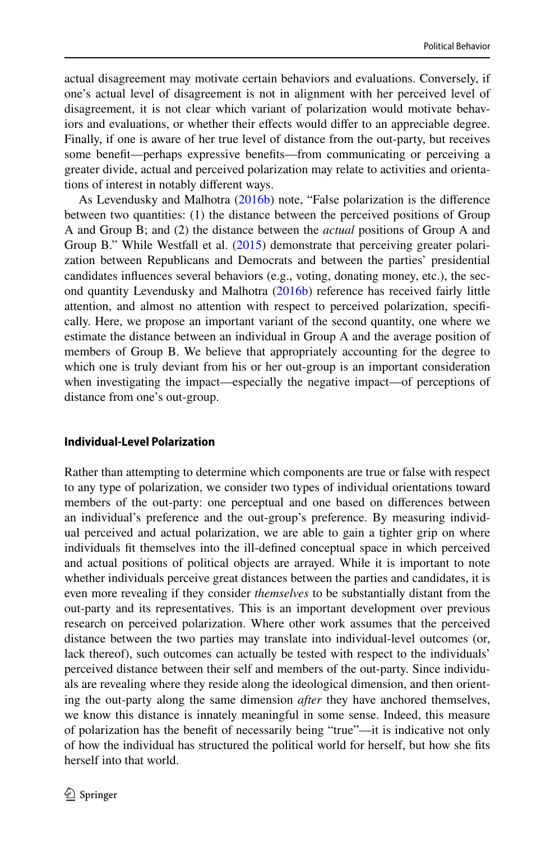actual disagreement may motivate certain behaviors and evaluations. Conversely, if one's actual level of disagreement is not in alignment with her perceived level of disagreement, it is not clear which variant of polarization would motivate behaviors and evaluations, or whether their efects would difer to an appreciable degree. Finally, if one is aware of her true level of distance from the out-party, but receives some beneft—perhaps expressive benefts—from communicating or perceiving a greater divide, actual and perceived polarization may relate to activities and orientations of interest in notably diferent ways.

As Levendusky and Malhotra [\(2016b](#page-23-9)) note, "False polarization is the diference between two quantities: (1) the distance between the perceived positions of Group A and Group B; and (2) the distance between the *actual* positions of Group A and Group B." While Westfall et al. [\(2015](#page-24-0)) demonstrate that perceiving greater polarization between Republicans and Democrats and between the parties' presidential candidates infuences several behaviors (e.g., voting, donating money, etc.), the second quantity Levendusky and Malhotra [\(2016b](#page-23-9)) reference has received fairly little attention, and almost no attention with respect to perceived polarization, specifcally. Here, we propose an important variant of the second quantity, one where we estimate the distance between an individual in Group A and the average position of members of Group B. We believe that appropriately accounting for the degree to which one is truly deviant from his or her out-group is an important consideration when investigating the impact—especially the negative impact—of perceptions of distance from one's out-group.

#### **Individual‑Level Polarization**

Rather than attempting to determine which components are true or false with respect to any type of polarization, we consider two types of individual orientations toward members of the out-party: one perceptual and one based on diferences between an individual's preference and the out-group's preference. By measuring individual perceived and actual polarization, we are able to gain a tighter grip on where individuals ft themselves into the ill-defned conceptual space in which perceived and actual positions of political objects are arrayed. While it is important to note whether individuals perceive great distances between the parties and candidates, it is even more revealing if they consider *themselves* to be substantially distant from the out-party and its representatives. This is an important development over previous research on perceived polarization. Where other work assumes that the perceived distance between the two parties may translate into individual-level outcomes (or, lack thereof), such outcomes can actually be tested with respect to the individuals' perceived distance between their self and members of the out-party. Since individuals are revealing where they reside along the ideological dimension, and then orienting the out-party along the same dimension *after* they have anchored themselves, we know this distance is innately meaningful in some sense. Indeed, this measure of polarization has the beneft of necessarily being "true"—it is indicative not only of how the individual has structured the political world for herself, but how she fts herself into that world.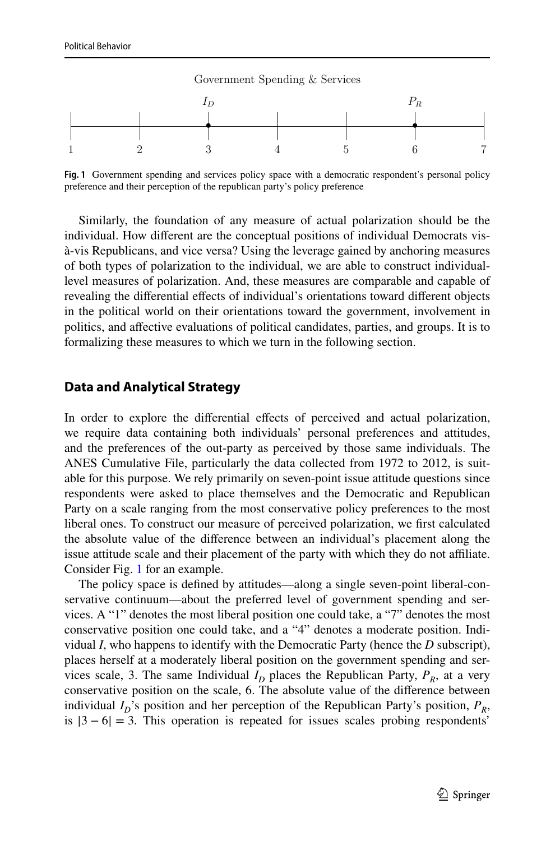

<span id="page-4-0"></span>**Fig. 1** Government spending and services policy space with a democratic respondent's personal policy preference and their perception of the republican party's policy preference

Similarly, the foundation of any measure of actual polarization should be the individual. How diferent are the conceptual positions of individual Democrats visà-vis Republicans, and vice versa? Using the leverage gained by anchoring measures of both types of polarization to the individual, we are able to construct individuallevel measures of polarization. And, these measures are comparable and capable of revealing the diferential efects of individual's orientations toward diferent objects in the political world on their orientations toward the government, involvement in politics, and afective evaluations of political candidates, parties, and groups. It is to formalizing these measures to which we turn in the following section.

# **Data and Analytical Strategy**

In order to explore the diferential efects of perceived and actual polarization, we require data containing both individuals' personal preferences and attitudes, and the preferences of the out-party as perceived by those same individuals. The ANES Cumulative File, particularly the data collected from 1972 to 2012, is suitable for this purpose. We rely primarily on seven-point issue attitude questions since respondents were asked to place themselves and the Democratic and Republican Party on a scale ranging from the most conservative policy preferences to the most liberal ones. To construct our measure of perceived polarization, we frst calculated the absolute value of the diference between an individual's placement along the issue attitude scale and their placement of the party with which they do not afliate. Consider Fig. [1](#page-4-0) for an example.

The policy space is defned by attitudes—along a single seven-point liberal-conservative continuum—about the preferred level of government spending and services. A "1" denotes the most liberal position one could take, a "7" denotes the most conservative position one could take, and a "4" denotes a moderate position. Individual *I*, who happens to identify with the Democratic Party (hence the *D* subscript), places herself at a moderately liberal position on the government spending and services scale, 3. The same Individual  $I_D$  places the Republican Party,  $P_R$ , at a very conservative position on the scale, 6. The absolute value of the diference between individual  $I_D$ 's position and her perception of the Republican Party's position,  $P_R$ , is  $|3 - 6| = 3$ . This operation is repeated for issues scales probing respondents'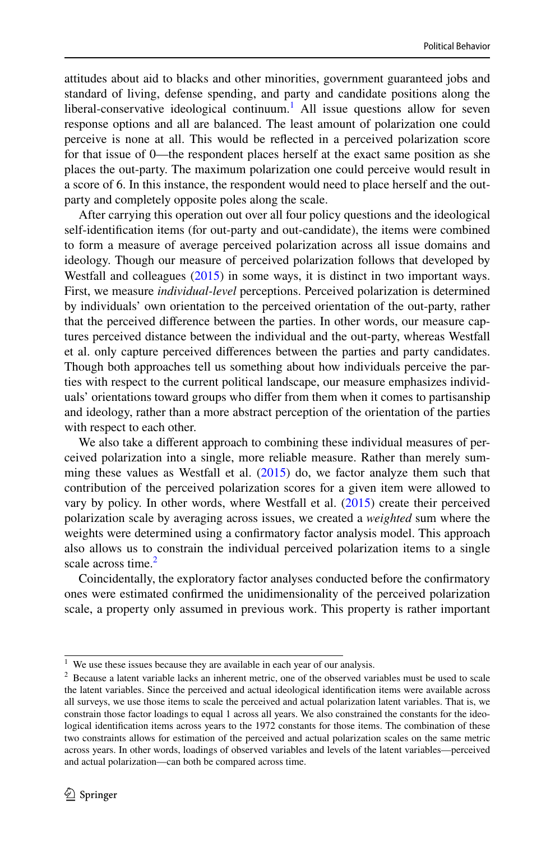attitudes about aid to blacks and other minorities, government guaranteed jobs and standard of living, defense spending, and party and candidate positions along the liberal-conservative ideological continuum.<sup>[1](#page-5-0)</sup> All issue questions allow for seven response options and all are balanced. The least amount of polarization one could perceive is none at all. This would be refected in a perceived polarization score for that issue of 0—the respondent places herself at the exact same position as she places the out-party. The maximum polarization one could perceive would result in a score of 6. In this instance, the respondent would need to place herself and the outparty and completely opposite poles along the scale.

After carrying this operation out over all four policy questions and the ideological self-identifcation items (for out-party and out-candidate), the items were combined to form a measure of average perceived polarization across all issue domains and ideology. Though our measure of perceived polarization follows that developed by Westfall and colleagues [\(2015](#page-24-0)) in some ways, it is distinct in two important ways. First, we measure *individual-level* perceptions. Perceived polarization is determined by individuals' own orientation to the perceived orientation of the out-party, rather that the perceived diference between the parties. In other words, our measure captures perceived distance between the individual and the out-party, whereas Westfall et al. only capture perceived diferences between the parties and party candidates. Though both approaches tell us something about how individuals perceive the parties with respect to the current political landscape, our measure emphasizes individuals' orientations toward groups who difer from them when it comes to partisanship and ideology, rather than a more abstract perception of the orientation of the parties with respect to each other.

We also take a diferent approach to combining these individual measures of perceived polarization into a single, more reliable measure. Rather than merely summing these values as Westfall et al.  $(2015)$  $(2015)$  do, we factor analyze them such that contribution of the perceived polarization scores for a given item were allowed to vary by policy. In other words, where Westfall et al. ([2015\)](#page-24-0) create their perceived polarization scale by averaging across issues, we created a *weighted* sum where the weights were determined using a confrmatory factor analysis model. This approach also allows us to constrain the individual perceived polarization items to a single scale across time. $2$ 

Coincidentally, the exploratory factor analyses conducted before the confrmatory ones were estimated confrmed the unidimensionality of the perceived polarization scale, a property only assumed in previous work. This property is rather important

<span id="page-5-0"></span><sup>&</sup>lt;sup>1</sup> We use these issues because they are available in each year of our analysis.

<span id="page-5-1"></span><sup>&</sup>lt;sup>2</sup> Because a latent variable lacks an inherent metric, one of the observed variables must be used to scale the latent variables. Since the perceived and actual ideological identifcation items were available across all surveys, we use those items to scale the perceived and actual polarization latent variables. That is, we constrain those factor loadings to equal 1 across all years. We also constrained the constants for the ideological identification items across years to the 1972 constants for those items. The combination of these two constraints allows for estimation of the perceived and actual polarization scales on the same metric across years. In other words, loadings of observed variables and levels of the latent variables—perceived and actual polarization—can both be compared across time.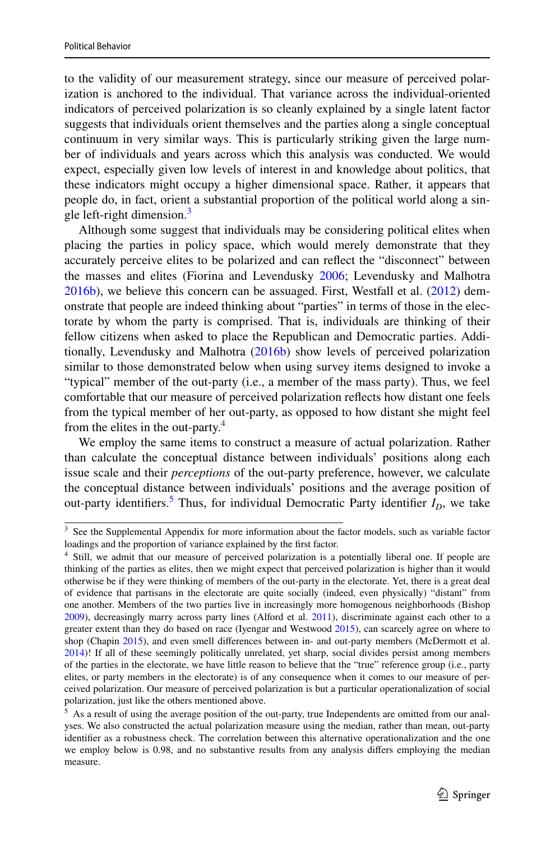to the validity of our measurement strategy, since our measure of perceived polarization is anchored to the individual. That variance across the individual-oriented indicators of perceived polarization is so cleanly explained by a single latent factor suggests that individuals orient themselves and the parties along a single conceptual continuum in very similar ways. This is particularly striking given the large number of individuals and years across which this analysis was conducted. We would expect, especially given low levels of interest in and knowledge about politics, that these indicators might occupy a higher dimensional space. Rather, it appears that people do, in fact, orient a substantial proportion of the political world along a single left-right dimension. $3$ 

Although some suggest that individuals may be considering political elites when placing the parties in policy space, which would merely demonstrate that they accurately perceive elites to be polarized and can refect the "disconnect" between the masses and elites (Fiorina and Levendusky [2006](#page-23-10); Levendusky and Malhotra [2016b](#page-23-9)), we believe this concern can be assuaged. First, Westfall et al. [\(2012](#page-24-4)) demonstrate that people are indeed thinking about "parties" in terms of those in the electorate by whom the party is comprised. That is, individuals are thinking of their fellow citizens when asked to place the Republican and Democratic parties. Additionally, Levendusky and Malhotra ([2016b\)](#page-23-9) show levels of perceived polarization similar to those demonstrated below when using survey items designed to invoke a "typical" member of the out-party (i.e., a member of the mass party). Thus, we feel comfortable that our measure of perceived polarization refects how distant one feels from the typical member of her out-party, as opposed to how distant she might feel from the elites in the out-party.[4](#page-6-1)

We employ the same items to construct a measure of actual polarization. Rather than calculate the conceptual distance between individuals' positions along each issue scale and their *perceptions* of the out-party preference, however, we calculate the conceptual distance between individuals' positions and the average position of out-party identifiers.<sup>5</sup> Thus, for individual Democratic Party identifier  $I_D$ , we take

<span id="page-6-0"></span><sup>&</sup>lt;sup>3</sup> See the Supplemental Appendix for more information about the factor models, such as variable factor loadings and the proportion of variance explained by the frst factor.

<span id="page-6-1"></span><sup>4</sup> Still, we admit that our measure of perceived polarization is a potentially liberal one. If people are thinking of the parties as elites, then we might expect that perceived polarization is higher than it would otherwise be if they were thinking of members of the out-party in the electorate. Yet, there is a great deal of evidence that partisans in the electorate are quite socially (indeed, even physically) "distant" from one another. Members of the two parties live in increasingly more homogenous neighborhoods (Bishop [2009](#page-23-11)), decreasingly marry across party lines (Alford et al. [2011\)](#page-22-3), discriminate against each other to a greater extent than they do based on race (Iyengar and Westwood [2015](#page-23-3)), can scarcely agree on where to shop (Chapin [2015](#page-23-12)), and even smell diferences between in- and out-party members (McDermott et al. [2014](#page-23-13))! If all of these seemingly politically unrelated, yet sharp, social divides persist among members of the parties in the electorate, we have little reason to believe that the "true" reference group (i.e., party elites, or party members in the electorate) is of any consequence when it comes to our measure of perceived polarization. Our measure of perceived polarization is but a particular operationalization of social polarization, just like the others mentioned above.

<span id="page-6-2"></span><sup>&</sup>lt;sup>5</sup> As a result of using the average position of the out-party, true Independents are omitted from our analyses. We also constructed the actual polarization measure using the median, rather than mean, out-party identifer as a robustness check. The correlation between this alternative operationalization and the one we employ below is 0.98, and no substantive results from any analysis difers employing the median measure.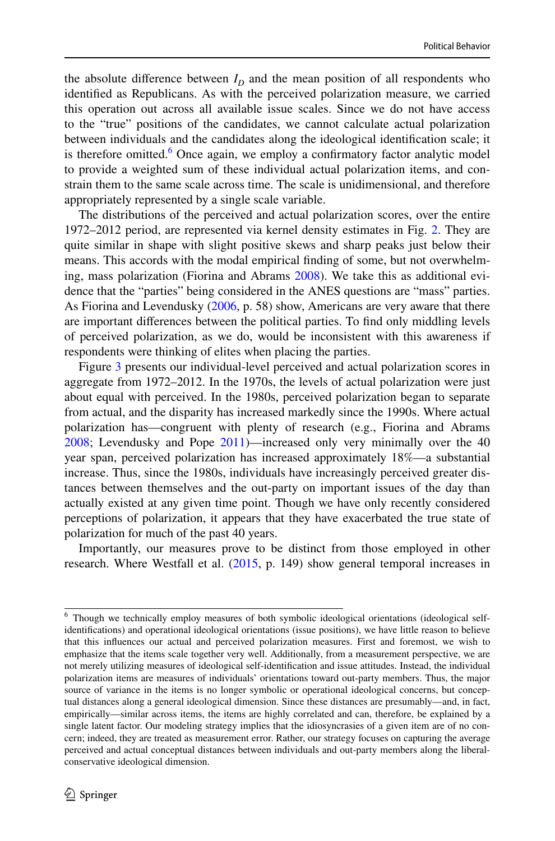the absolute difference between  $I<sub>D</sub>$  and the mean position of all respondents who identifed as Republicans. As with the perceived polarization measure, we carried this operation out across all available issue scales. Since we do not have access to the "true" positions of the candidates, we cannot calculate actual polarization between individuals and the candidates along the ideological identifcation scale; it is therefore omitted. $6$  Once again, we employ a confirmatory factor analytic model to provide a weighted sum of these individual actual polarization items, and constrain them to the same scale across time. The scale is unidimensional, and therefore appropriately represented by a single scale variable.

The distributions of the perceived and actual polarization scores, over the entire 1972–2012 period, are represented via kernel density estimates in Fig. [2.](#page-8-0) They are quite similar in shape with slight positive skews and sharp peaks just below their means. This accords with the modal empirical fnding of some, but not overwhelming, mass polarization (Fiorina and Abrams [2008](#page-23-1)). We take this as additional evidence that the "parties" being considered in the ANES questions are "mass" parties. As Fiorina and Levendusky ([2006,](#page-23-10) p. 58) show, Americans are very aware that there are important diferences between the political parties. To fnd only middling levels of perceived polarization, as we do, would be inconsistent with this awareness if respondents were thinking of elites when placing the parties.

Figure [3](#page-8-1) presents our individual-level perceived and actual polarization scores in aggregate from 1972–2012. In the 1970s, the levels of actual polarization were just about equal with perceived. In the 1980s, perceived polarization began to separate from actual, and the disparity has increased markedly since the 1990s. Where actual polarization has—congruent with plenty of research (e.g., Fiorina and Abrams [2008](#page-23-1); Levendusky and Pope [2011\)](#page-23-14)—increased only very minimally over the 40 year span, perceived polarization has increased approximately 18%—a substantial increase. Thus, since the 1980s, individuals have increasingly perceived greater distances between themselves and the out-party on important issues of the day than actually existed at any given time point. Though we have only recently considered perceptions of polarization, it appears that they have exacerbated the true state of polarization for much of the past 40 years.

Importantly, our measures prove to be distinct from those employed in other research. Where Westfall et al. ([2015,](#page-24-0) p. 149) show general temporal increases in

<span id="page-7-0"></span><sup>6</sup> Though we technically employ measures of both symbolic ideological orientations (ideological selfidentifcations) and operational ideological orientations (issue positions), we have little reason to believe that this infuences our actual and perceived polarization measures. First and foremost, we wish to emphasize that the items scale together very well. Additionally, from a measurement perspective, we are not merely utilizing measures of ideological self-identifcation and issue attitudes. Instead, the individual polarization items are measures of individuals' orientations toward out-party members. Thus, the major source of variance in the items is no longer symbolic or operational ideological concerns, but conceptual distances along a general ideological dimension. Since these distances are presumably—and, in fact, empirically—similar across items, the items are highly correlated and can, therefore, be explained by a single latent factor. Our modeling strategy implies that the idiosyncrasies of a given item are of no concern; indeed, they are treated as measurement error. Rather, our strategy focuses on capturing the average perceived and actual conceptual distances between individuals and out-party members along the liberalconservative ideological dimension.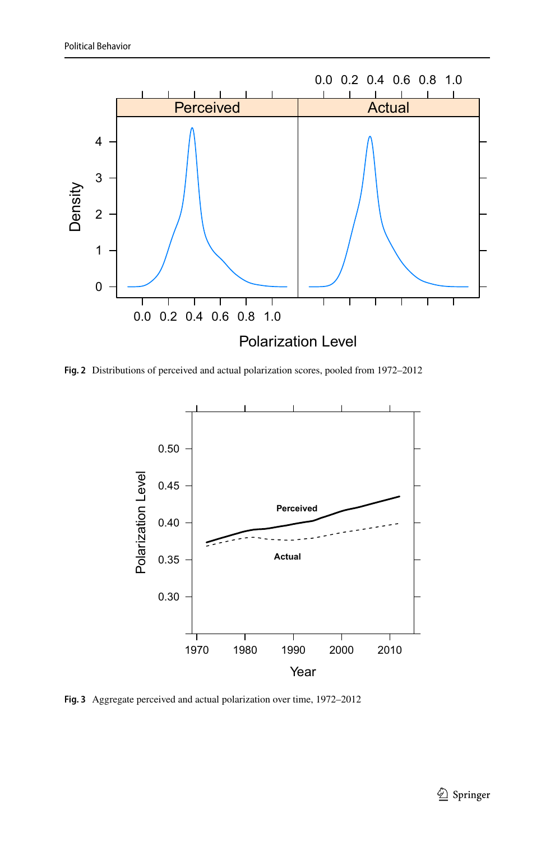

<span id="page-8-0"></span>**Fig. 2** Distributions of perceived and actual polarization scores, pooled from 1972–2012



<span id="page-8-1"></span>**Fig. 3** Aggregate perceived and actual polarization over time, 1972–2012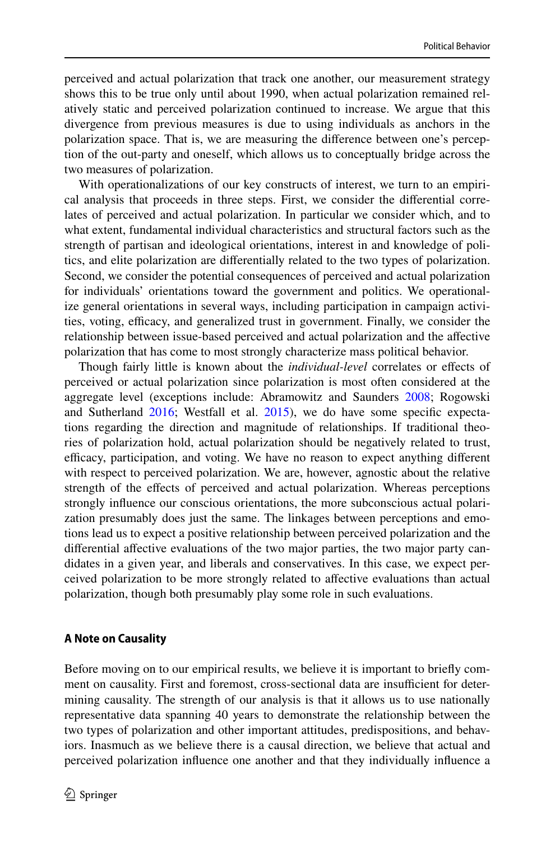perceived and actual polarization that track one another, our measurement strategy shows this to be true only until about 1990, when actual polarization remained relatively static and perceived polarization continued to increase. We argue that this divergence from previous measures is due to using individuals as anchors in the polarization space. That is, we are measuring the diference between one's perception of the out-party and oneself, which allows us to conceptually bridge across the two measures of polarization.

With operationalizations of our key constructs of interest, we turn to an empirical analysis that proceeds in three steps. First, we consider the diferential correlates of perceived and actual polarization. In particular we consider which, and to what extent, fundamental individual characteristics and structural factors such as the strength of partisan and ideological orientations, interest in and knowledge of politics, and elite polarization are diferentially related to the two types of polarization. Second, we consider the potential consequences of perceived and actual polarization for individuals' orientations toward the government and politics. We operationalize general orientations in several ways, including participation in campaign activities, voting, efficacy, and generalized trust in government. Finally, we consider the relationship between issue-based perceived and actual polarization and the afective polarization that has come to most strongly characterize mass political behavior.

Though fairly little is known about the *individual-level* correlates or efects of perceived or actual polarization since polarization is most often considered at the aggregate level (exceptions include: Abramowitz and Saunders [2008;](#page-22-0) Rogowski and Sutherland [2016](#page-24-5); Westfall et al. [2015](#page-24-0)), we do have some specifc expectations regarding the direction and magnitude of relationships. If traditional theories of polarization hold, actual polarization should be negatively related to trust, efficacy, participation, and voting. We have no reason to expect anything different with respect to perceived polarization. We are, however, agnostic about the relative strength of the efects of perceived and actual polarization. Whereas perceptions strongly infuence our conscious orientations, the more subconscious actual polarization presumably does just the same. The linkages between perceptions and emotions lead us to expect a positive relationship between perceived polarization and the diferential afective evaluations of the two major parties, the two major party candidates in a given year, and liberals and conservatives. In this case, we expect perceived polarization to be more strongly related to afective evaluations than actual polarization, though both presumably play some role in such evaluations.

#### **A Note on Causality**

Before moving on to our empirical results, we believe it is important to briefy comment on causality. First and foremost, cross-sectional data are insufficient for determining causality. The strength of our analysis is that it allows us to use nationally representative data spanning 40 years to demonstrate the relationship between the two types of polarization and other important attitudes, predispositions, and behaviors. Inasmuch as we believe there is a causal direction, we believe that actual and perceived polarization infuence one another and that they individually infuence a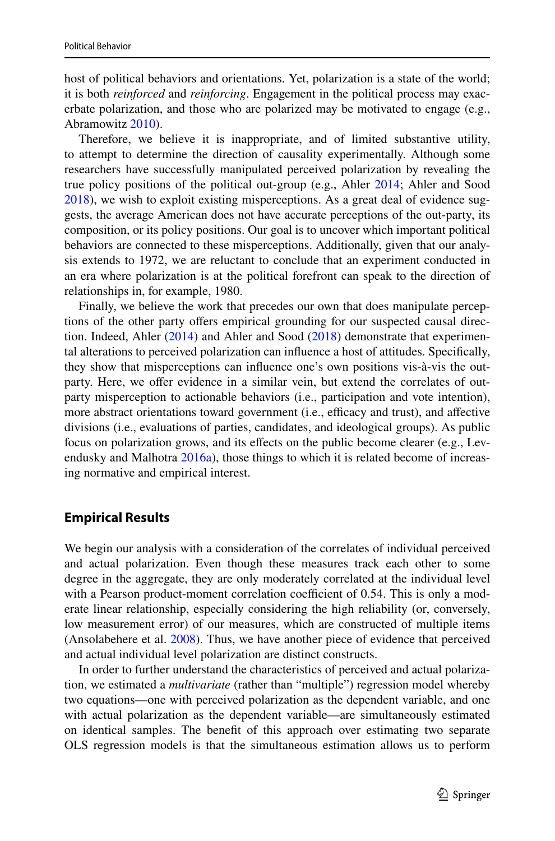host of political behaviors and orientations. Yet, polarization is a state of the world; it is both *reinforced* and *reinforcing*. Engagement in the political process may exacerbate polarization, and those who are polarized may be motivated to engage (e.g., Abramowitz [2010](#page-22-4)).

Therefore, we believe it is inappropriate, and of limited substantive utility, to attempt to determine the direction of causality experimentally. Although some researchers have successfully manipulated perceived polarization by revealing the true policy positions of the political out-group (e.g., Ahler [2014;](#page-22-1) Ahler and Sood [2018](#page-22-5)), we wish to exploit existing misperceptions. As a great deal of evidence suggests, the average American does not have accurate perceptions of the out-party, its composition, or its policy positions. Our goal is to uncover which important political behaviors are connected to these misperceptions. Additionally, given that our analysis extends to 1972, we are reluctant to conclude that an experiment conducted in an era where polarization is at the political forefront can speak to the direction of relationships in, for example, 1980.

Finally, we believe the work that precedes our own that does manipulate perceptions of the other party offers empirical grounding for our suspected causal direction. Indeed, Ahler ([2014\)](#page-22-1) and Ahler and Sood ([2018\)](#page-22-5) demonstrate that experimental alterations to perceived polarization can infuence a host of attitudes. Specifcally, they show that misperceptions can infuence one's own positions vis-à-vis the outparty. Here, we offer evidence in a similar vein, but extend the correlates of outparty misperception to actionable behaviors (i.e., participation and vote intention), more abstract orientations toward government (i.e., efficacy and trust), and affective divisions (i.e., evaluations of parties, candidates, and ideological groups). As public focus on polarization grows, and its efects on the public become clearer (e.g., Lev-endusky and Malhotra [2016a\)](#page-23-15), those things to which it is related become of increasing normative and empirical interest.

#### **Empirical Results**

We begin our analysis with a consideration of the correlates of individual perceived and actual polarization. Even though these measures track each other to some degree in the aggregate, they are only moderately correlated at the individual level with a Pearson product-moment correlation coefficient of 0.54. This is only a moderate linear relationship, especially considering the high reliability (or, conversely, low measurement error) of our measures, which are constructed of multiple items (Ansolabehere et al. [2008](#page-23-16)). Thus, we have another piece of evidence that perceived and actual individual level polarization are distinct constructs.

In order to further understand the characteristics of perceived and actual polarization, we estimated a *multivariate* (rather than "multiple") regression model whereby two equations—one with perceived polarization as the dependent variable, and one with actual polarization as the dependent variable—are simultaneously estimated on identical samples. The beneft of this approach over estimating two separate OLS regression models is that the simultaneous estimation allows us to perform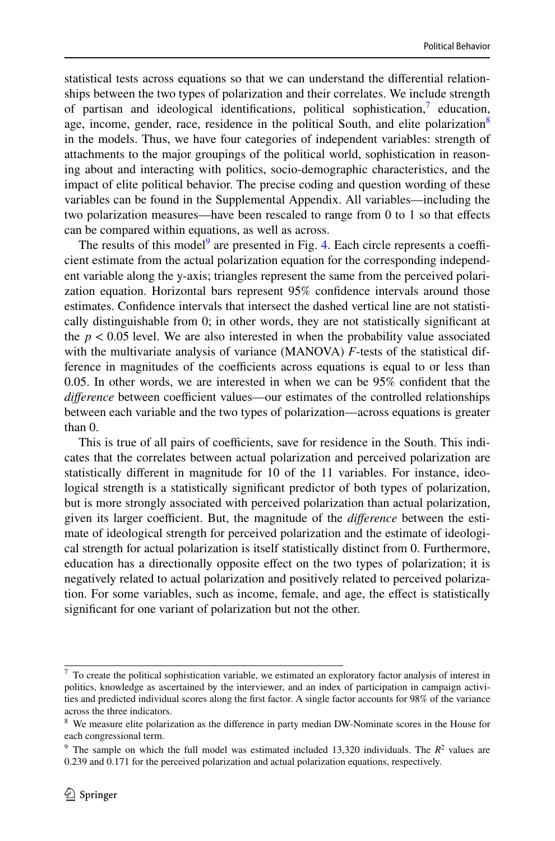statistical tests across equations so that we can understand the diferential relationships between the two types of polarization and their correlates. We include strength of partisan and ideological identifications, political sophistication,<sup>7</sup> education, age, income, gender, race, residence in the political South, and elite polarization<sup>[8](#page-11-1)</sup> in the models. Thus, we have four categories of independent variables: strength of attachments to the major groupings of the political world, sophistication in reasoning about and interacting with politics, socio-demographic characteristics, and the impact of elite political behavior. The precise coding and question wording of these variables can be found in the Supplemental Appendix. All variables—including the two polarization measures—have been rescaled to range from 0 to 1 so that effects can be compared within equations, as well as across.

The results of this model<sup>[9](#page-11-2)</sup> are presented in Fig. [4](#page-12-0). Each circle represents a coefficient estimate from the actual polarization equation for the corresponding independent variable along the y-axis; triangles represent the same from the perceived polarization equation. Horizontal bars represent 95% confdence intervals around those estimates. Confdence intervals that intersect the dashed vertical line are not statistically distinguishable from 0; in other words, they are not statistically signifcant at the  $p < 0.05$  level. We are also interested in when the probability value associated with the multivariate analysis of variance (MANOVA) *F*-tests of the statistical difference in magnitudes of the coefficients across equations is equal to or less than 0.05. In other words, we are interested in when we can be 95% confdent that the *difference* between coefficient values—our estimates of the controlled relationships between each variable and the two types of polarization—across equations is greater than 0.

This is true of all pairs of coefficients, save for residence in the South. This indicates that the correlates between actual polarization and perceived polarization are statistically diferent in magnitude for 10 of the 11 variables. For instance, ideological strength is a statistically signifcant predictor of both types of polarization, but is more strongly associated with perceived polarization than actual polarization, given its larger coefficient. But, the magnitude of the *difference* between the estimate of ideological strength for perceived polarization and the estimate of ideological strength for actual polarization is itself statistically distinct from 0. Furthermore, education has a directionally opposite efect on the two types of polarization; it is negatively related to actual polarization and positively related to perceived polarization. For some variables, such as income, female, and age, the efect is statistically signifcant for one variant of polarization but not the other.

<span id="page-11-0"></span> $7$  To create the political sophistication variable, we estimated an exploratory factor analysis of interest in politics, knowledge as ascertained by the interviewer, and an index of participation in campaign activities and predicted individual scores along the frst factor. A single factor accounts for 98% of the variance across the three indicators.

<span id="page-11-1"></span><sup>&</sup>lt;sup>8</sup> We measure elite polarization as the difference in party median DW-Nominate scores in the House for each congressional term.

<span id="page-11-2"></span><sup>&</sup>lt;sup>9</sup> The sample on which the full model was estimated included 13,320 individuals. The  $R^2$  values are 0.239 and 0.171 for the perceived polarization and actual polarization equations, respectively.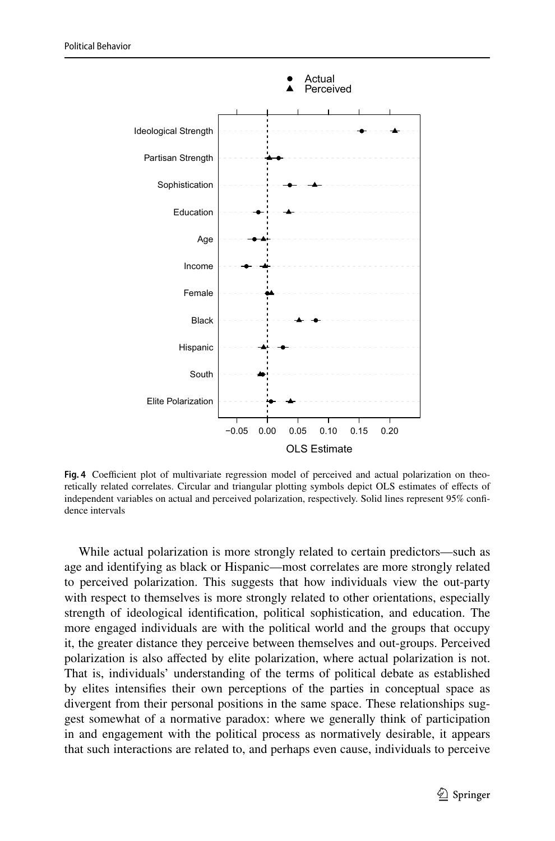

<span id="page-12-0"></span>Fig. 4 Coefficient plot of multivariate regression model of perceived and actual polarization on theoretically related correlates. Circular and triangular plotting symbols depict OLS estimates of efects of independent variables on actual and perceived polarization, respectively. Solid lines represent 95% confdence intervals

While actual polarization is more strongly related to certain predictors—such as age and identifying as black or Hispanic—most correlates are more strongly related to perceived polarization. This suggests that how individuals view the out-party with respect to themselves is more strongly related to other orientations, especially strength of ideological identifcation, political sophistication, and education. The more engaged individuals are with the political world and the groups that occupy it, the greater distance they perceive between themselves and out-groups. Perceived polarization is also afected by elite polarization, where actual polarization is not. That is, individuals' understanding of the terms of political debate as established by elites intensifes their own perceptions of the parties in conceptual space as divergent from their personal positions in the same space. These relationships suggest somewhat of a normative paradox: where we generally think of participation in and engagement with the political process as normatively desirable, it appears that such interactions are related to, and perhaps even cause, individuals to perceive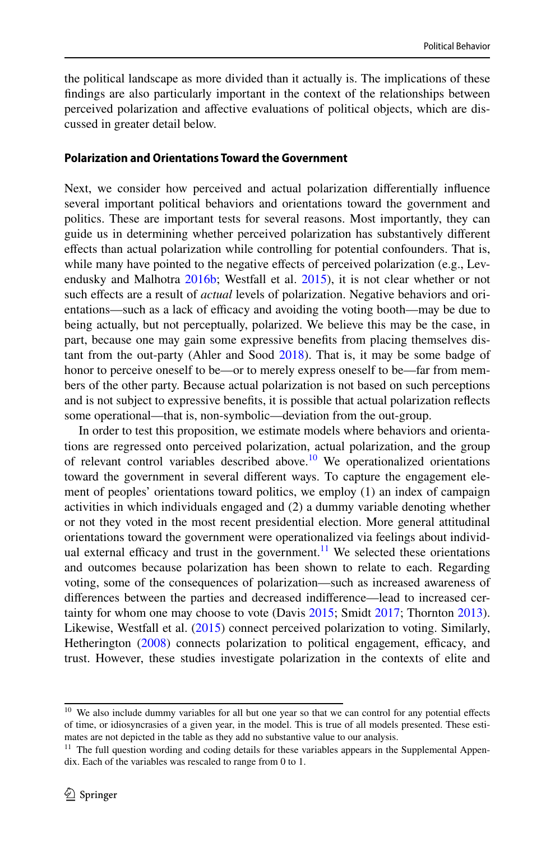the political landscape as more divided than it actually is. The implications of these fndings are also particularly important in the context of the relationships between perceived polarization and afective evaluations of political objects, which are discussed in greater detail below.

## **Polarization and Orientations Toward the Government**

Next, we consider how perceived and actual polarization diferentially infuence several important political behaviors and orientations toward the government and politics. These are important tests for several reasons. Most importantly, they can guide us in determining whether perceived polarization has substantively diferent efects than actual polarization while controlling for potential confounders. That is, while many have pointed to the negative effects of perceived polarization (e.g., Lev-endusky and Malhotra [2016b](#page-23-9); Westfall et al. [2015\)](#page-24-0), it is not clear whether or not such efects are a result of *actual* levels of polarization. Negative behaviors and orientations—such as a lack of efficacy and avoiding the voting booth—may be due to being actually, but not perceptually, polarized. We believe this may be the case, in part, because one may gain some expressive benefts from placing themselves distant from the out-party (Ahler and Sood [2018](#page-22-5)). That is, it may be some badge of honor to perceive oneself to be—or to merely express oneself to be—far from members of the other party. Because actual polarization is not based on such perceptions and is not subject to expressive benefts, it is possible that actual polarization refects some operational—that is, non-symbolic—deviation from the out-group.

In order to test this proposition, we estimate models where behaviors and orientations are regressed onto perceived polarization, actual polarization, and the group of relevant control variables described above.<sup>[10](#page-13-0)</sup> We operationalized orientations toward the government in several diferent ways. To capture the engagement element of peoples' orientations toward politics, we employ (1) an index of campaign activities in which individuals engaged and (2) a dummy variable denoting whether or not they voted in the most recent presidential election. More general attitudinal orientations toward the government were operationalized via feelings about individual external efficacy and trust in the government.<sup>11</sup> We selected these orientations and outcomes because polarization has been shown to relate to each. Regarding voting, some of the consequences of polarization—such as increased awareness of diferences between the parties and decreased indiference—lead to increased certainty for whom one may choose to vote (Davis [2015;](#page-23-17) Smidt [2017;](#page-24-6) Thornton [2013\)](#page-24-7). Likewise, Westfall et al. ([2015\)](#page-24-0) connect perceived polarization to voting. Similarly, Hetherington ([2008\)](#page-23-18) connects polarization to political engagement, efficacy, and trust. However, these studies investigate polarization in the contexts of elite and

<span id="page-13-0"></span><sup>&</sup>lt;sup>10</sup> We also include dummy variables for all but one year so that we can control for any potential effects of time, or idiosyncrasies of a given year, in the model. This is true of all models presented. These estimates are not depicted in the table as they add no substantive value to our analysis.

<span id="page-13-1"></span> $11$  The full question wording and coding details for these variables appears in the Supplemental Appendix. Each of the variables was rescaled to range from 0 to 1.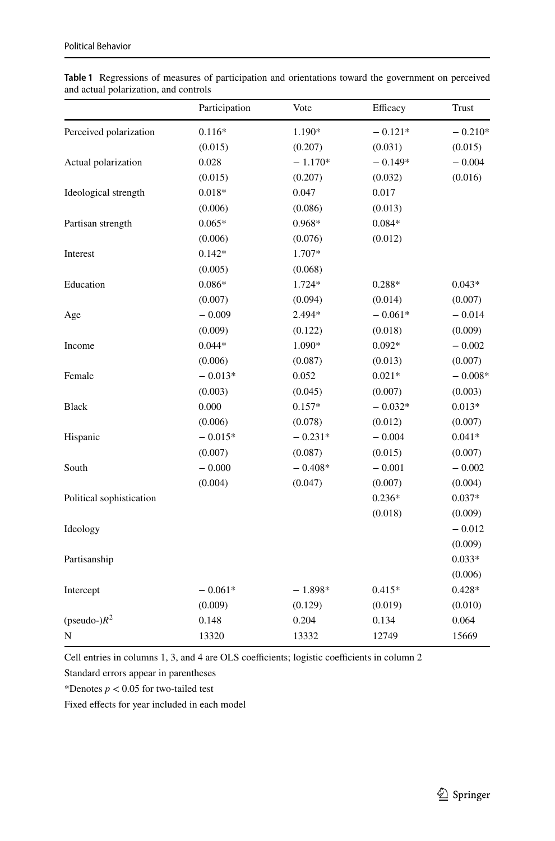|                          | Participation | Vote      | Efficacy  | Trust     |
|--------------------------|---------------|-----------|-----------|-----------|
| Perceived polarization   | $0.116*$      | 1.190*    | $-0.121*$ | $-0.210*$ |
|                          | (0.015)       | (0.207)   | (0.031)   | (0.015)   |
| Actual polarization      | 0.028         | $-1.170*$ | $-0.149*$ | $-0.004$  |
|                          | (0.015)       | (0.207)   | (0.032)   | (0.016)   |
| Ideological strength     | $0.018*$      | 0.047     | 0.017     |           |
|                          | (0.006)       | (0.086)   | (0.013)   |           |
| Partisan strength        | $0.065*$      | 0.968*    | $0.084*$  |           |
|                          | (0.006)       | (0.076)   | (0.012)   |           |
| Interest                 | $0.142*$      | 1.707*    |           |           |
|                          | (0.005)       | (0.068)   |           |           |
| Education                | $0.086*$      | 1.724*    | 0.288*    | $0.043*$  |
|                          | (0.007)       | (0.094)   | (0.014)   | (0.007)   |
| Age                      | $-0.009$      | 2.494*    | $-0.061*$ | $-0.014$  |
|                          | (0.009)       | (0.122)   | (0.018)   | (0.009)   |
| Income                   | $0.044*$      | 1.090*    | $0.092*$  | $-0.002$  |
|                          | (0.006)       | (0.087)   | (0.013)   | (0.007)   |
| Female                   | $-0.013*$     | 0.052     | $0.021*$  | $-0.008*$ |
|                          | (0.003)       | (0.045)   | (0.007)   | (0.003)   |
| <b>Black</b>             | 0.000         | $0.157*$  | $-0.032*$ | $0.013*$  |
|                          | (0.006)       | (0.078)   | (0.012)   | (0.007)   |
| Hispanic                 | $-0.015*$     | $-0.231*$ | $-0.004$  | $0.041*$  |
|                          | (0.007)       | (0.087)   | (0.015)   | (0.007)   |
| South                    | $-0.000$      | $-0.408*$ | $-0.001$  | $-0.002$  |
|                          | (0.004)       | (0.047)   | (0.007)   | (0.004)   |
| Political sophistication |               |           | $0.236*$  | $0.037*$  |
|                          |               |           | (0.018)   | (0.009)   |
| Ideology                 |               |           |           | $-0.012$  |
|                          |               |           |           | (0.009)   |
| Partisanship             |               |           |           | $0.033*$  |
|                          |               |           |           | (0.006)   |
| Intercept                | $-0.061*$     | $-1.898*$ | $0.415*$  | $0.428*$  |
|                          | (0.009)       | (0.129)   | (0.019)   | (0.010)   |
| (pseudo-) $R^2$          | 0.148         | 0.204     | 0.134     | 0.064     |
| N                        | 13320         | 13332     | 12749     | 15669     |

<span id="page-14-0"></span>**Table 1** Regressions of measures of participation and orientations toward the government on perceived and actual polarization, and controls

Cell entries in columns 1, 3, and 4 are OLS coefficients; logistic coefficients in column 2

Standard errors appear in parentheses

\*Denotes  $p < 0.05$  for two-tailed test

Fixed effects for year included in each model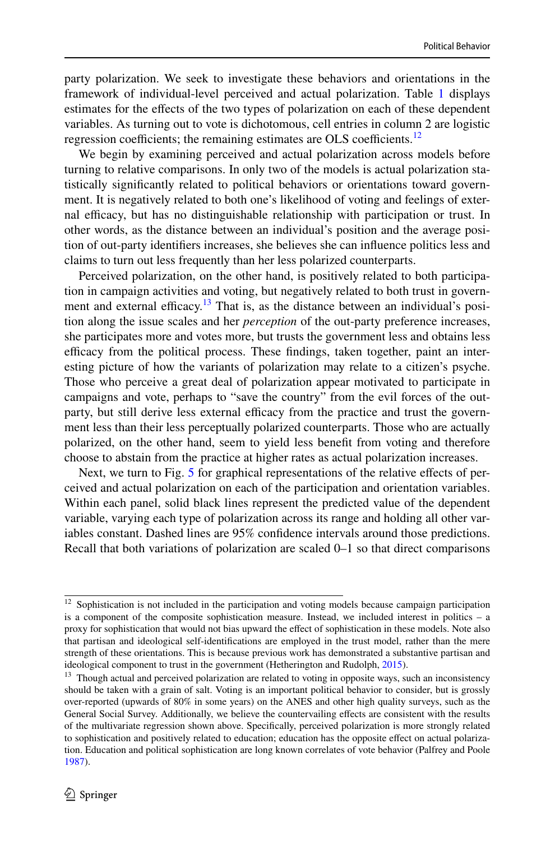party polarization. We seek to investigate these behaviors and orientations in the framework of individual-level perceived and actual polarization. Table [1](#page-14-0) displays estimates for the efects of the two types of polarization on each of these dependent variables. As turning out to vote is dichotomous, cell entries in column 2 are logistic regression coefficients; the remaining estimates are OLS coefficients.<sup>12</sup>

We begin by examining perceived and actual polarization across models before turning to relative comparisons. In only two of the models is actual polarization statistically signifcantly related to political behaviors or orientations toward government. It is negatively related to both one's likelihood of voting and feelings of external efficacy, but has no distinguishable relationship with participation or trust. In other words, as the distance between an individual's position and the average position of out-party identifers increases, she believes she can infuence politics less and claims to turn out less frequently than her less polarized counterparts.

Perceived polarization, on the other hand, is positively related to both participation in campaign activities and voting, but negatively related to both trust in government and external efficacy.<sup>13</sup> That is, as the distance between an individual's position along the issue scales and her *perception* of the out-party preference increases, she participates more and votes more, but trusts the government less and obtains less efficacy from the political process. These findings, taken together, paint an interesting picture of how the variants of polarization may relate to a citizen's psyche. Those who perceive a great deal of polarization appear motivated to participate in campaigns and vote, perhaps to "save the country" from the evil forces of the outparty, but still derive less external efficacy from the practice and trust the government less than their less perceptually polarized counterparts. Those who are actually polarized, on the other hand, seem to yield less beneft from voting and therefore choose to abstain from the practice at higher rates as actual polarization increases.

Next, we turn to Fig. [5](#page-16-0) for graphical representations of the relative effects of perceived and actual polarization on each of the participation and orientation variables. Within each panel, solid black lines represent the predicted value of the dependent variable, varying each type of polarization across its range and holding all other variables constant. Dashed lines are 95% confdence intervals around those predictions. Recall that both variations of polarization are scaled 0–1 so that direct comparisons

<span id="page-15-0"></span><sup>&</sup>lt;sup>12</sup> Sophistication is not included in the participation and voting models because campaign participation is a component of the composite sophistication measure. Instead, we included interest in politics – a proxy for sophistication that would not bias upward the efect of sophistication in these models. Note also that partisan and ideological self-identifcations are employed in the trust model, rather than the mere strength of these orientations. This is because previous work has demonstrated a substantive partisan and ideological component to trust in the government (Hetherington and Rudolph, [2015\)](#page-23-19).

<span id="page-15-1"></span><sup>&</sup>lt;sup>13</sup> Though actual and perceived polarization are related to voting in opposite ways, such an inconsistency should be taken with a grain of salt. Voting is an important political behavior to consider, but is grossly over-reported (upwards of 80% in some years) on the ANES and other high quality surveys, such as the General Social Survey. Additionally, we believe the countervailing efects are consistent with the results of the multivariate regression shown above. Specifcally, perceived polarization is more strongly related to sophistication and positively related to education; education has the opposite efect on actual polarization. Education and political sophistication are long known correlates of vote behavior (Palfrey and Poole [1987](#page-23-20)).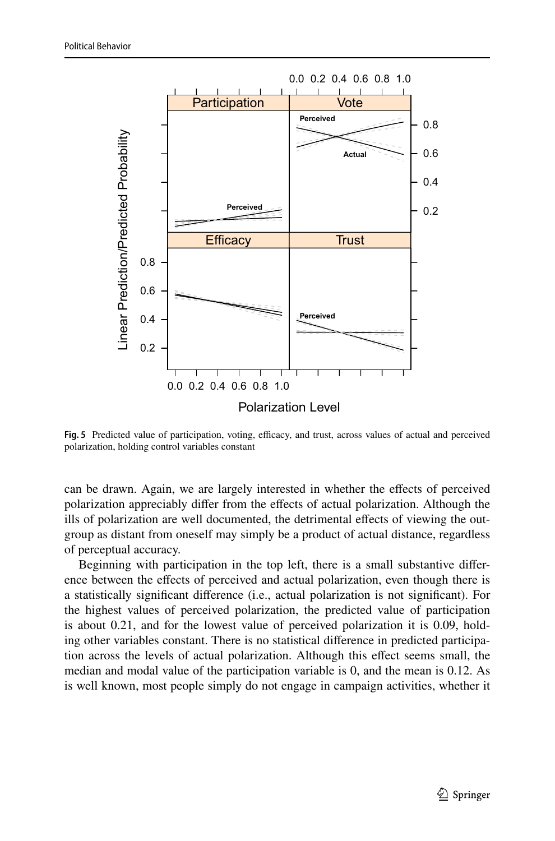

<span id="page-16-0"></span>Fig. 5 Predicted value of participation, voting, efficacy, and trust, across values of actual and perceived polarization, holding control variables constant

can be drawn. Again, we are largely interested in whether the efects of perceived polarization appreciably difer from the efects of actual polarization. Although the ills of polarization are well documented, the detrimental efects of viewing the outgroup as distant from oneself may simply be a product of actual distance, regardless of perceptual accuracy.

Beginning with participation in the top left, there is a small substantive diference between the efects of perceived and actual polarization, even though there is a statistically signifcant diference (i.e., actual polarization is not signifcant). For the highest values of perceived polarization, the predicted value of participation is about 0.21, and for the lowest value of perceived polarization it is 0.09, holding other variables constant. There is no statistical diference in predicted participation across the levels of actual polarization. Although this efect seems small, the median and modal value of the participation variable is 0, and the mean is 0.12. As is well known, most people simply do not engage in campaign activities, whether it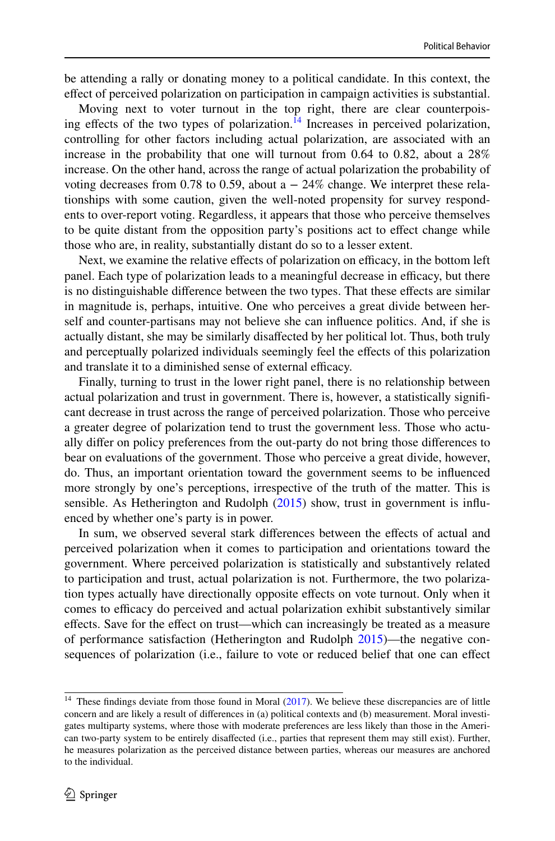be attending a rally or donating money to a political candidate. In this context, the efect of perceived polarization on participation in campaign activities is substantial.

Moving next to voter turnout in the top right, there are clear counterpoising effects of the two types of polarization.<sup>14</sup> Increases in perceived polarization, controlling for other factors including actual polarization, are associated with an increase in the probability that one will turnout from 0.64 to 0.82, about a 28% increase. On the other hand, across the range of actual polarization the probability of voting decreases from 0.78 to 0.59, about a  $-24\%$  change. We interpret these relationships with some caution, given the well-noted propensity for survey respondents to over-report voting. Regardless, it appears that those who perceive themselves to be quite distant from the opposition party's positions act to efect change while those who are, in reality, substantially distant do so to a lesser extent.

Next, we examine the relative effects of polarization on efficacy, in the bottom left panel. Each type of polarization leads to a meaningful decrease in efficacy, but there is no distinguishable diference between the two types. That these efects are similar in magnitude is, perhaps, intuitive. One who perceives a great divide between herself and counter-partisans may not believe she can infuence politics. And, if she is actually distant, she may be similarly disafected by her political lot. Thus, both truly and perceptually polarized individuals seemingly feel the efects of this polarization and translate it to a diminished sense of external efficacy.

Finally, turning to trust in the lower right panel, there is no relationship between actual polarization and trust in government. There is, however, a statistically signifcant decrease in trust across the range of perceived polarization. Those who perceive a greater degree of polarization tend to trust the government less. Those who actually difer on policy preferences from the out-party do not bring those diferences to bear on evaluations of the government. Those who perceive a great divide, however, do. Thus, an important orientation toward the government seems to be infuenced more strongly by one's perceptions, irrespective of the truth of the matter. This is sensible. As Hetherington and Rudolph [\(2015](#page-23-19)) show, trust in government is influenced by whether one's party is in power.

In sum, we observed several stark diferences between the efects of actual and perceived polarization when it comes to participation and orientations toward the government. Where perceived polarization is statistically and substantively related to participation and trust, actual polarization is not. Furthermore, the two polarization types actually have directionally opposite efects on vote turnout. Only when it comes to efficacy do perceived and actual polarization exhibit substantively similar efects. Save for the efect on trust—which can increasingly be treated as a measure of performance satisfaction (Hetherington and Rudolph [2015\)](#page-23-19)—the negative consequences of polarization (i.e., failure to vote or reduced belief that one can efect

<span id="page-17-0"></span><sup>&</sup>lt;sup>14</sup> These findings deviate from those found in Moral ([2017\)](#page-23-21). We believe these discrepancies are of little concern and are likely a result of diferences in (a) political contexts and (b) measurement. Moral investigates multiparty systems, where those with moderate preferences are less likely than those in the American two-party system to be entirely disafected (i.e., parties that represent them may still exist). Further, he measures polarization as the perceived distance between parties, whereas our measures are anchored to the individual.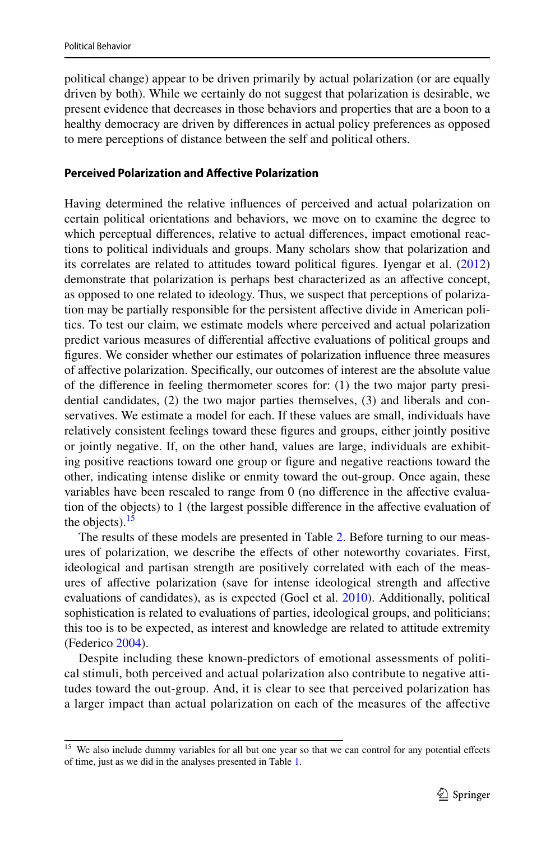political change) appear to be driven primarily by actual polarization (or are equally driven by both). While we certainly do not suggest that polarization is desirable, we present evidence that decreases in those behaviors and properties that are a boon to a healthy democracy are driven by diferences in actual policy preferences as opposed to mere perceptions of distance between the self and political others.

## **Perceived Polarization and Afective Polarization**

Having determined the relative infuences of perceived and actual polarization on certain political orientations and behaviors, we move on to examine the degree to which perceptual diferences, relative to actual diferences, impact emotional reactions to political individuals and groups. Many scholars show that polarization and its correlates are related to attitudes toward political fgures. Iyengar et al. [\(2012](#page-23-2)) demonstrate that polarization is perhaps best characterized as an afective concept, as opposed to one related to ideology. Thus, we suspect that perceptions of polarization may be partially responsible for the persistent affective divide in American politics. To test our claim, we estimate models where perceived and actual polarization predict various measures of diferential afective evaluations of political groups and fgures. We consider whether our estimates of polarization infuence three measures of afective polarization. Specifcally, our outcomes of interest are the absolute value of the diference in feeling thermometer scores for: (1) the two major party presidential candidates, (2) the two major parties themselves, (3) and liberals and conservatives. We estimate a model for each. If these values are small, individuals have relatively consistent feelings toward these fgures and groups, either jointly positive or jointly negative. If, on the other hand, values are large, individuals are exhibiting positive reactions toward one group or fgure and negative reactions toward the other, indicating intense dislike or enmity toward the out-group. Once again, these variables have been rescaled to range from 0 (no diference in the afective evaluation of the objects) to 1 (the largest possible diference in the afective evaluation of the objects). $15$ 

The results of these models are presented in Table [2.](#page-19-0) Before turning to our measures of polarization, we describe the efects of other noteworthy covariates. First, ideological and partisan strength are positively correlated with each of the measures of afective polarization (save for intense ideological strength and afective evaluations of candidates), as is expected (Goel et al. [2010](#page-23-6)). Additionally, political sophistication is related to evaluations of parties, ideological groups, and politicians; this too is to be expected, as interest and knowledge are related to attitude extremity (Federico [2004\)](#page-23-22).

Despite including these known-predictors of emotional assessments of political stimuli, both perceived and actual polarization also contribute to negative attitudes toward the out-group. And, it is clear to see that perceived polarization has a larger impact than actual polarization on each of the measures of the afective

<span id="page-18-0"></span><sup>&</sup>lt;sup>15</sup> We also include dummy variables for all but one year so that we can control for any potential effects of time, just as we did in the analyses presented in Table [1](#page-14-0).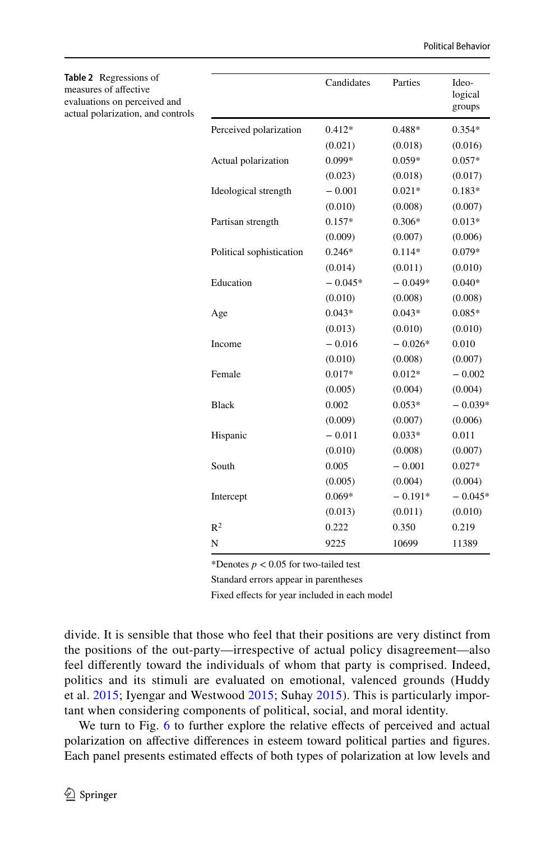<span id="page-19-0"></span>

| Table 2 Regressions of<br>measures of affective<br>evaluations on perceived and<br>actual polarization, and controls |                          | Candidates | Parties   | Ideo-<br>logical<br>groups |
|----------------------------------------------------------------------------------------------------------------------|--------------------------|------------|-----------|----------------------------|
|                                                                                                                      | Perceived polarization   | $0.412*$   | 0.488*    | $0.354*$                   |
|                                                                                                                      |                          | (0.021)    | (0.018)   | (0.016)                    |
|                                                                                                                      | Actual polarization      | $0.099*$   | $0.059*$  | $0.057*$                   |
|                                                                                                                      |                          | (0.023)    | (0.018)   | (0.017)                    |
|                                                                                                                      | Ideological strength     | $-0.001$   | $0.021*$  | $0.183*$                   |
|                                                                                                                      |                          | (0.010)    | (0.008)   | (0.007)                    |
|                                                                                                                      | Partisan strength        | $0.157*$   | $0.306*$  | $0.013*$                   |
|                                                                                                                      |                          | (0.009)    | (0.007)   | (0.006)                    |
|                                                                                                                      | Political sophistication | $0.246*$   | $0.114*$  | $0.079*$                   |
|                                                                                                                      |                          | (0.014)    | (0.011)   | (0.010)                    |
|                                                                                                                      | Education                | $-0.045*$  | $-0.049*$ | $0.040*$                   |
|                                                                                                                      |                          | (0.010)    | (0.008)   | (0.008)                    |
|                                                                                                                      | Age                      | $0.043*$   | $0.043*$  | $0.085*$                   |
|                                                                                                                      |                          | (0.013)    | (0.010)   | (0.010)                    |
|                                                                                                                      | Income                   | $-0.016$   | $-0.026*$ | 0.010                      |
|                                                                                                                      |                          | (0.010)    | (0.008)   | (0.007)                    |
|                                                                                                                      | Female                   | $0.017*$   | $0.012*$  | $-0.002$                   |
|                                                                                                                      |                          | (0.005)    | (0.004)   | (0.004)                    |
|                                                                                                                      | <b>Black</b>             | 0.002      | $0.053*$  | $-0.039*$                  |
|                                                                                                                      |                          | (0.009)    | (0.007)   | (0.006)                    |
|                                                                                                                      | Hispanic                 | $-0.011$   | $0.033*$  | 0.011                      |
|                                                                                                                      |                          | (0.010)    | (0.008)   | (0.007)                    |
|                                                                                                                      | South                    | 0.005      | $-0.001$  | $0.027*$                   |
|                                                                                                                      |                          | (0.005)    | (0.004)   | (0.004)                    |
|                                                                                                                      | Intercept                | $0.069*$   | $-0.191*$ | $-0.045*$                  |
|                                                                                                                      |                          | (0.013)    | (0.011)   | (0.010)                    |
|                                                                                                                      | $R^2$                    | 0.222      | 0.350     | 0.219                      |
|                                                                                                                      | ${\bf N}$                | 9225       | 10699     | 11389                      |

\*Denotes  $p < 0.05$  for two-tailed test

Standard errors appear in parentheses

Fixed effects for year included in each model

divide. It is sensible that those who feel that their positions are very distinct from the positions of the out-party—irrespective of actual policy disagreement—also feel diferently toward the individuals of whom that party is comprised. Indeed, politics and its stimuli are evaluated on emotional, valenced grounds (Huddy et al. [2015](#page-23-5); Iyengar and Westwood [2015](#page-23-3); Suhay [2015](#page-24-1)). This is particularly important when considering components of political, social, and moral identity.

We turn to Fig. [6](#page-20-0) to further explore the relative effects of perceived and actual polarization on afective diferences in esteem toward political parties and fgures. Each panel presents estimated efects of both types of polarization at low levels and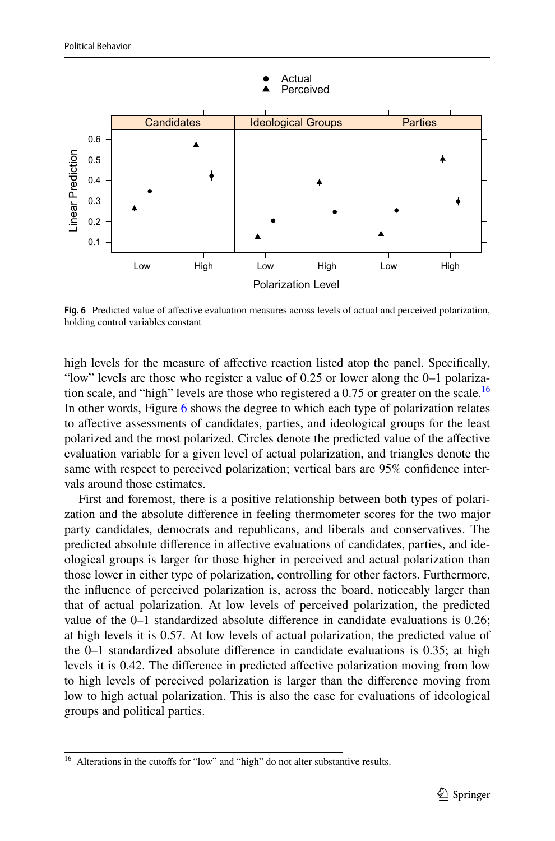

<span id="page-20-0"></span>**Fig. 6** Predicted value of afective evaluation measures across levels of actual and perceived polarization, holding control variables constant

high levels for the measure of afective reaction listed atop the panel. Specifcally, "low" levels are those who register a value of 0.25 or lower along the 0–1 polarization scale, and "high" levels are those who registered a  $0.75$  or greater on the scale.<sup>16</sup> In other words, Figure [6](#page-20-0) shows the degree to which each type of polarization relates to afective assessments of candidates, parties, and ideological groups for the least polarized and the most polarized. Circles denote the predicted value of the afective evaluation variable for a given level of actual polarization, and triangles denote the same with respect to perceived polarization; vertical bars are 95% confdence intervals around those estimates.

First and foremost, there is a positive relationship between both types of polarization and the absolute diference in feeling thermometer scores for the two major party candidates, democrats and republicans, and liberals and conservatives. The predicted absolute diference in afective evaluations of candidates, parties, and ideological groups is larger for those higher in perceived and actual polarization than those lower in either type of polarization, controlling for other factors. Furthermore, the infuence of perceived polarization is, across the board, noticeably larger than that of actual polarization. At low levels of perceived polarization, the predicted value of the 0–1 standardized absolute diference in candidate evaluations is 0.26; at high levels it is 0.57. At low levels of actual polarization, the predicted value of the 0–1 standardized absolute diference in candidate evaluations is 0.35; at high levels it is 0.42. The diference in predicted afective polarization moving from low to high levels of perceived polarization is larger than the diference moving from low to high actual polarization. This is also the case for evaluations of ideological groups and political parties.

<span id="page-20-1"></span><sup>&</sup>lt;sup>16</sup> Alterations in the cutoffs for "low" and "high" do not alter substantive results.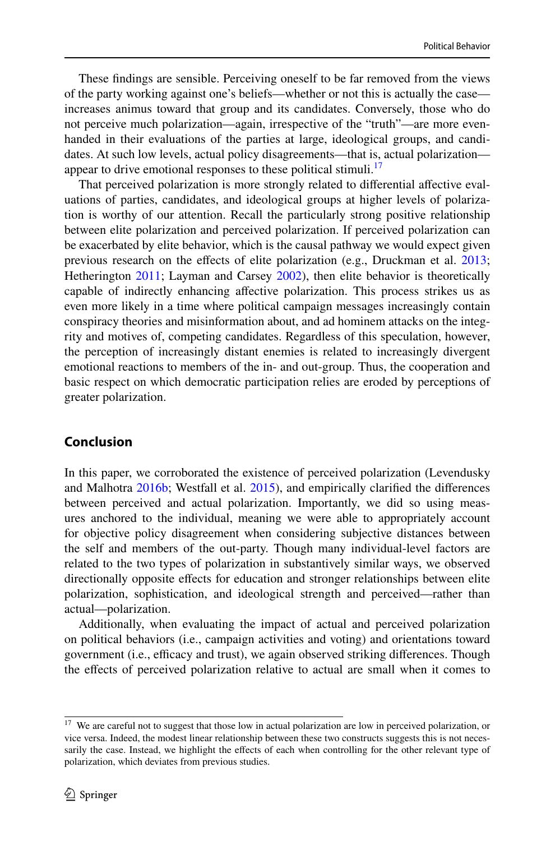These fndings are sensible. Perceiving oneself to be far removed from the views of the party working against one's beliefs—whether or not this is actually the case increases animus toward that group and its candidates. Conversely, those who do not perceive much polarization—again, irrespective of the "truth"—are more evenhanded in their evaluations of the parties at large, ideological groups, and candidates. At such low levels, actual policy disagreements—that is, actual polarization— appear to drive emotional responses to these political stimuli.<sup>[17](#page-21-0)</sup>

That perceived polarization is more strongly related to differential affective evaluations of parties, candidates, and ideological groups at higher levels of polarization is worthy of our attention. Recall the particularly strong positive relationship between elite polarization and perceived polarization. If perceived polarization can be exacerbated by elite behavior, which is the causal pathway we would expect given previous research on the effects of elite polarization (e.g., Druckman et al. [2013;](#page-23-23) Hetherington [2011;](#page-23-24) Layman and Carsey [2002](#page-23-25)), then elite behavior is theoretically capable of indirectly enhancing afective polarization. This process strikes us as even more likely in a time where political campaign messages increasingly contain conspiracy theories and misinformation about, and ad hominem attacks on the integrity and motives of, competing candidates. Regardless of this speculation, however, the perception of increasingly distant enemies is related to increasingly divergent emotional reactions to members of the in- and out-group. Thus, the cooperation and basic respect on which democratic participation relies are eroded by perceptions of greater polarization.

# **Conclusion**

In this paper, we corroborated the existence of perceived polarization (Levendusky and Malhotra [2016b](#page-23-9); Westfall et al. [2015](#page-24-0)), and empirically clarifed the diferences between perceived and actual polarization. Importantly, we did so using measures anchored to the individual, meaning we were able to appropriately account for objective policy disagreement when considering subjective distances between the self and members of the out-party. Though many individual-level factors are related to the two types of polarization in substantively similar ways, we observed directionally opposite efects for education and stronger relationships between elite polarization, sophistication, and ideological strength and perceived—rather than actual—polarization.

Additionally, when evaluating the impact of actual and perceived polarization on political behaviors (i.e., campaign activities and voting) and orientations toward government (i.e., efficacy and trust), we again observed striking differences. Though the efects of perceived polarization relative to actual are small when it comes to

<span id="page-21-0"></span><sup>&</sup>lt;sup>17</sup> We are careful not to suggest that those low in actual polarization are low in perceived polarization, or vice versa. Indeed, the modest linear relationship between these two constructs suggests this is not necessarily the case. Instead, we highlight the efects of each when controlling for the other relevant type of polarization, which deviates from previous studies.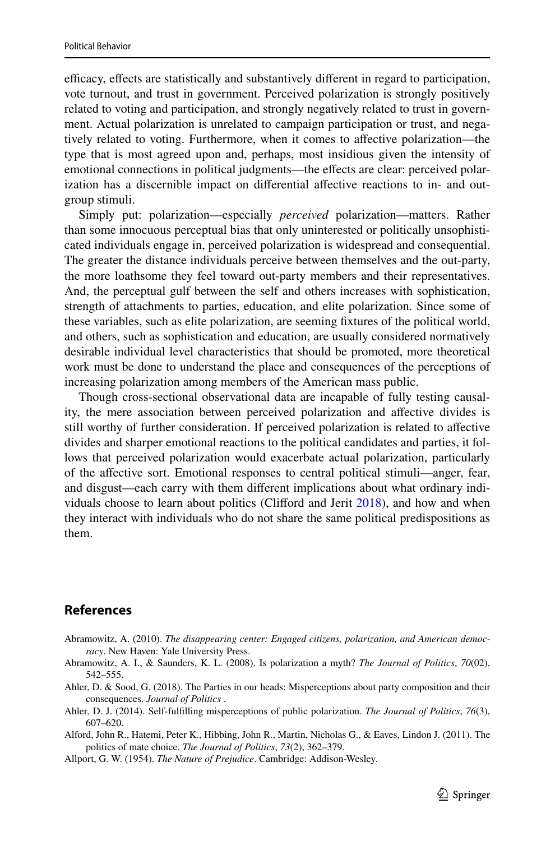efficacy, effects are statistically and substantively different in regard to participation, vote turnout, and trust in government. Perceived polarization is strongly positively related to voting and participation, and strongly negatively related to trust in government. Actual polarization is unrelated to campaign participation or trust, and negatively related to voting. Furthermore, when it comes to afective polarization—the type that is most agreed upon and, perhaps, most insidious given the intensity of emotional connections in political judgments—the effects are clear: perceived polarization has a discernible impact on diferential afective reactions to in- and outgroup stimuli.

Simply put: polarization—especially *perceived* polarization—matters. Rather than some innocuous perceptual bias that only uninterested or politically unsophisticated individuals engage in, perceived polarization is widespread and consequential. The greater the distance individuals perceive between themselves and the out-party, the more loathsome they feel toward out-party members and their representatives. And, the perceptual gulf between the self and others increases with sophistication, strength of attachments to parties, education, and elite polarization. Since some of these variables, such as elite polarization, are seeming fxtures of the political world, and others, such as sophistication and education, are usually considered normatively desirable individual level characteristics that should be promoted, more theoretical work must be done to understand the place and consequences of the perceptions of increasing polarization among members of the American mass public.

Though cross-sectional observational data are incapable of fully testing causality, the mere association between perceived polarization and afective divides is still worthy of further consideration. If perceived polarization is related to afective divides and sharper emotional reactions to the political candidates and parties, it follows that perceived polarization would exacerbate actual polarization, particularly of the afective sort. Emotional responses to central political stimuli—anger, fear, and disgust—each carry with them diferent implications about what ordinary individuals choose to learn about politics (Cliford and Jerit [2018](#page-23-26)), and how and when they interact with individuals who do not share the same political predispositions as them.

# **References**

- <span id="page-22-4"></span>Abramowitz, A. (2010). *The disappearing center: Engaged citizens, polarization, and American democracy*. New Haven: Yale University Press.
- <span id="page-22-0"></span>Abramowitz, A. I., & Saunders, K. L. (2008). Is polarization a myth? *The Journal of Politics*, *70*(02), 542–555.
- <span id="page-22-5"></span>Ahler, D. & Sood, G. (2018). The Parties in our heads: Misperceptions about party composition and their consequences. *Journal of Politics* .
- <span id="page-22-1"></span>Ahler, D. J. (2014). Self-fulflling misperceptions of public polarization. *The Journal of Politics*, *76*(3), 607–620.
- <span id="page-22-3"></span>Alford, John R., Hatemi, Peter K., Hibbing, John R., Martin, Nicholas G., & Eaves, Lindon J. (2011). The politics of mate choice. *The Journal of Politics*, *73*(2), 362–379.
- <span id="page-22-2"></span>Allport, G. W. (1954). *The Nature of Prejudice*. Cambridge: Addison-Wesley.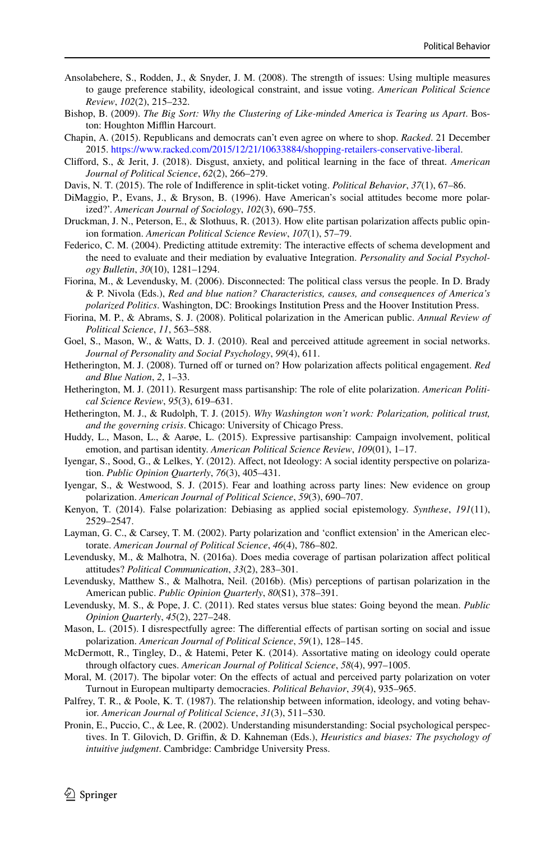- <span id="page-23-16"></span>Ansolabehere, S., Rodden, J., & Snyder, J. M. (2008). The strength of issues: Using multiple measures to gauge preference stability, ideological constraint, and issue voting. *American Political Science Review*, *102*(2), 215–232.
- <span id="page-23-11"></span>Bishop, B. (2009). *The Big Sort: Why the Clustering of Like-minded America is Tearing us Apart*. Boston: Houghton Mifin Harcourt.
- <span id="page-23-12"></span>Chapin, A. (2015). Republicans and democrats can't even agree on where to shop. *Racked*. 21 December 2015. [https://www.racked.com/2015/12/21/10633884/shopping-retailers-conservative-liberal.](https://www.racked.com/2015/12/21/10633884/shopping-retailers-conservative-liberal)
- <span id="page-23-26"></span>Cliford, S., & Jerit, J. (2018). Disgust, anxiety, and political learning in the face of threat. *American Journal of Political Science*, *62*(2), 266–279.
- <span id="page-23-17"></span>Davis, N. T. (2015). The role of Indiference in split-ticket voting. *Political Behavior*, *37*(1), 67–86.
- <span id="page-23-0"></span>DiMaggio, P., Evans, J., & Bryson, B. (1996). Have American's social attitudes become more polarized?'. *American Journal of Sociology*, *102*(3), 690–755.
- <span id="page-23-23"></span>Druckman, J. N., Peterson, E., & Slothuus, R. (2013). How elite partisan polarization affects public opinion formation. *American Political Science Review*, *107*(1), 57–79.
- <span id="page-23-22"></span>Federico, C. M. (2004). Predicting attitude extremity: The interactive effects of schema development and the need to evaluate and their mediation by evaluative Integration. *Personality and Social Psychology Bulletin*, *30*(10), 1281–1294.
- <span id="page-23-10"></span>Fiorina, M., & Levendusky, M. (2006). Disconnected: The political class versus the people. In D. Brady & P. Nivola (Eds.), *Red and blue nation? Characteristics, causes, and consequences of America's polarized Politics*. Washington, DC: Brookings Institution Press and the Hoover Institution Press.
- <span id="page-23-1"></span>Fiorina, M. P., & Abrams, S. J. (2008). Political polarization in the American public. *Annual Review of Political Science*, *11*, 563–588.
- <span id="page-23-6"></span>Goel, S., Mason, W., & Watts, D. J. (2010). Real and perceived attitude agreement in social networks. *Journal of Personality and Social Psychology*, *99*(4), 611.
- <span id="page-23-18"></span>Hetherington, M. J. (2008). Turned of or turned on? How polarization afects political engagement. *Red and Blue Nation*, *2*, 1–33.
- <span id="page-23-24"></span>Hetherington, M. J. (2011). Resurgent mass partisanship: The role of elite polarization. *American Political Science Review*, *95*(3), 619–631.
- <span id="page-23-19"></span>Hetherington, M. J., & Rudolph, T. J. (2015). *Why Washington won't work: Polarization, political trust, and the governing crisis*. Chicago: University of Chicago Press.
- <span id="page-23-5"></span>Huddy, L., Mason, L., & Aarøe, L. (2015). Expressive partisanship: Campaign involvement, political emotion, and partisan identity. *American Political Science Review*, *109*(01), 1–17.
- <span id="page-23-2"></span>Iyengar, S., Sood, G., & Lelkes, Y. (2012). Afect, not Ideology: A social identity perspective on polarization. *Public Opinion Quarterly*, *76*(3), 405–431.
- <span id="page-23-3"></span>Iyengar, S., & Westwood, S. J. (2015). Fear and loathing across party lines: New evidence on group polarization. *American Journal of Political Science*, *59*(3), 690–707.
- <span id="page-23-7"></span>Kenyon, T. (2014). False polarization: Debiasing as applied social epistemology. *Synthese*, *191*(11), 2529–2547.
- <span id="page-23-25"></span>Layman, G. C., & Carsey, T. M. (2002). Party polarization and 'confict extension' in the American electorate. *American Journal of Political Science*, *46*(4), 786–802.
- <span id="page-23-15"></span>Levendusky, M., & Malhotra, N. (2016a). Does media coverage of partisan polarization afect political attitudes? *Political Communication*, *33*(2), 283–301.
- <span id="page-23-9"></span>Levendusky, Matthew S., & Malhotra, Neil. (2016b). (Mis) perceptions of partisan polarization in the American public. *Public Opinion Quarterly*, *80*(S1), 378–391.
- <span id="page-23-14"></span>Levendusky, M. S., & Pope, J. C. (2011). Red states versus blue states: Going beyond the mean. *Public Opinion Quarterly*, *45*(2), 227–248.
- <span id="page-23-4"></span>Mason, L. (2015). I disrespectfully agree: The diferential efects of partisan sorting on social and issue polarization. *American Journal of Political Science*, *59*(1), 128–145.
- <span id="page-23-13"></span>McDermott, R., Tingley, D., & Hatemi, Peter K. (2014). Assortative mating on ideology could operate through olfactory cues. *American Journal of Political Science*, *58*(4), 997–1005.
- <span id="page-23-21"></span>Moral, M. (2017). The bipolar voter: On the efects of actual and perceived party polarization on voter Turnout in European multiparty democracies. *Political Behavior*, *39*(4), 935–965.
- <span id="page-23-20"></span>Palfrey, T. R., & Poole, K. T. (1987). The relationship between information, ideology, and voting behavior. *American Journal of Political Science*, *31*(3), 511–530.
- <span id="page-23-8"></span>Pronin, E., Puccio, C., & Lee, R. (2002). Understanding misunderstanding: Social psychological perspectives. In T. Gilovich, D. Grifn, & D. Kahneman (Eds.), *Heuristics and biases: The psychology of intuitive judgment*. Cambridge: Cambridge University Press.